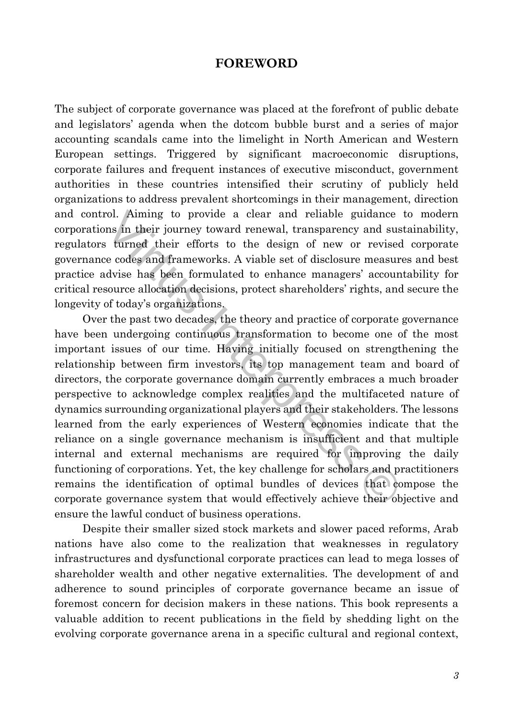## **FOREWORD**

The subject of corporate governance was placed at the forefront of public debate and legislators' agenda when the dotcom bubble burst and a series of major accounting scandals came into the limelight in North American and Western European settings. Triggered by significant macroeconomic disruptions, corporate failures and frequent instances of executive misconduct, government authorities in these countries intensified their scrutiny of publicly held organizations to address prevalent shortcomings in their management, direction and control. Aiming to provide a clear and reliable guidance to modern corporations in their journey toward renewal, transparency and sustainability, regulators turned their efforts to the design of new or revised corporate governance codes and frameworks. A viable set of disclosure measures and best practice advise has been formulated to enhance managers' accountability for critical resource allocation decisions, protect shareholders' rights, and secure the longevity of today's organizations.

rol. Aiming to provide a clear and reliable guidance t<br>ns in their journey toward renewal, transparency and sust<br>is turned their efforts to the design of new or revised<br>e codes and frameworks. A viable set of disclosure me Over the past two decades, the theory and practice of corporate governance have been undergoing continuous transformation to become one of the most important issues of our time. Having initially focused on strengthening the relationship between firm investors, its top management team and board of directors, the corporate governance domain currently embraces a much broader perspective to acknowledge complex realities and the multifaceted nature of dynamics surrounding organizational players and their stakeholders. The lessons learned from the early experiences of Western economies indicate that the reliance on a single governance mechanism is insufficient and that multiple internal and external mechanisms are required for improving the daily functioning of corporations. Yet, the key challenge for scholars and practitioners remains the identification of optimal bundles of devices that compose the corporate governance system that would effectively achieve their objective and ensure the lawful conduct of business operations.

Despite their smaller sized stock markets and slower paced reforms, Arab nations have also come to the realization that weaknesses in regulatory infrastructures and dysfunctional corporate practices can lead to mega losses of shareholder wealth and other negative externalities. The development of and adherence to sound principles of corporate governance became an issue of foremost concern for decision makers in these nations. This book represents a valuable addition to recent publications in the field by shedding light on the evolving corporate governance arena in a specific cultural and regional context,